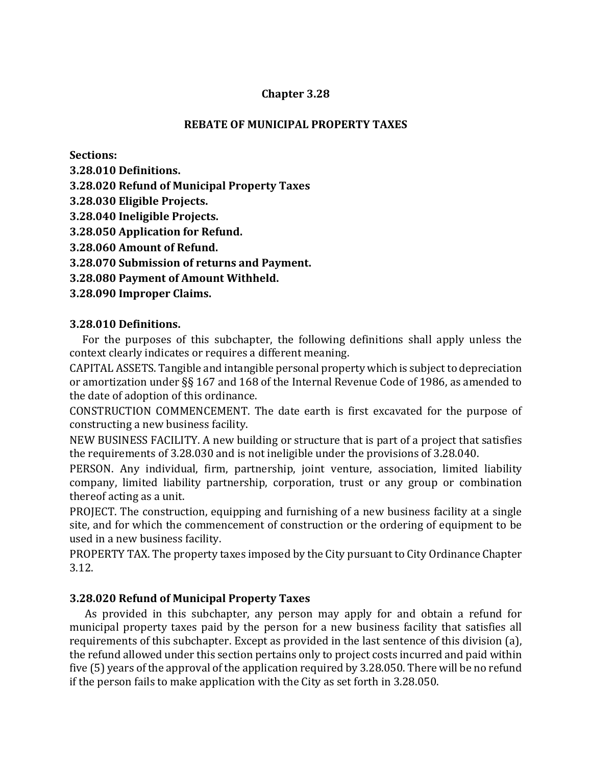### **Chapter 3.28**

### **REBATE OF MUNICIPAL PROPERTY TAXES**

**Sections:** 

- **3.28.010 Definitions.**
- **3.28.020 Refund of Municipal Property Taxes**
- **3.28.030 Eligible Projects.**
- **3.28.040 Ineligible Projects.**
- **3.28.050 Application for Refund.**
- **3.28.060 Amount of Refund.**
- **3.28.070 Submission of returns and Payment.**
- **3.28.080 Payment of Amount Withheld.**
- **3.28.090 Improper Claims.**

# **3.28.010 Definitions.**

 For the purposes of this subchapter, the following definitions shall apply unless the context clearly indicates or requires a different meaning.

CAPITAL ASSETS. Tangible and intangible personal property which is subject to depreciation or amortization under §§ 167 and 168 of the Internal Revenue Code of 1986, as amended to the date of adoption of this ordinance.

CONSTRUCTION COMMENCEMENT. The date earth is first excavated for the purpose of constructing a new business facility.

NEW BUSINESS FACILITY. A new building or structure that is part of a project that satisfies the requirements of 3.28.030 and is not ineligible under the provisions of 3.28.040.

PERSON. Any individual, firm, partnership, joint venture, association, limited liability company, limited liability partnership, corporation, trust or any group or combination thereof acting as a unit.

PROJECT. The construction, equipping and furnishing of a new business facility at a single site, and for which the commencement of construction or the ordering of equipment to be used in a new business facility.

PROPERTY TAX. The property taxes imposed by the City pursuant to City Ordinance Chapter 3.12.

# **3.28.020 Refund of Municipal Property Taxes**

 As provided in this subchapter, any person may apply for and obtain a refund for municipal property taxes paid by the person for a new business facility that satisfies all requirements of this subchapter. Except as provided in the last sentence of this division (a), the refund allowed under this section pertains only to project costs incurred and paid within five (5) years of the approval of the application required by 3.28.050. There will be no refund if the person fails to make application with the City as set forth in 3.28.050.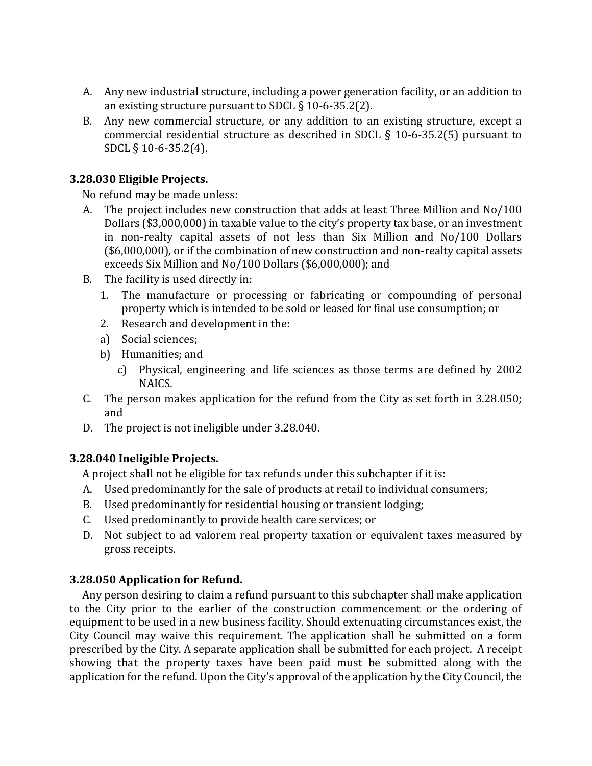- A. Any new industrial structure, including a power generation facility, or an addition to an existing structure pursuant to SDCL § 10-6-35.2(2).
- B. Any new commercial structure, or any addition to an existing structure, except a commercial residential structure as described in SDCL § 10-6-35.2(5) pursuant to SDCL § 10-6-35.2(4).

### **3.28.030 Eligible Projects.**

No refund may be made unless:

- A. The project includes new construction that adds at least Three Million and No/100 Dollars (\$3,000,000) in taxable value to the city's property tax base, or an investment in non-realty capital assets of not less than Six Million and No/100 Dollars (\$6,000,000), or if the combination of new construction and non-realty capital assets exceeds Six Million and No/100 Dollars (\$6,000,000); and
- B. The facility is used directly in:
	- 1. The manufacture or processing or fabricating or compounding of personal property which is intended to be sold or leased for final use consumption; or
	- 2. Research and development in the:
	- a) Social sciences;
	- b) Humanities; and
		- c) Physical, engineering and life sciences as those terms are defined by 2002 NAICS.
- C. The person makes application for the refund from the City as set forth in 3.28.050; and
- D. The project is not ineligible under 3.28.040.

# **3.28.040 Ineligible Projects.**

A project shall not be eligible for tax refunds under this subchapter if it is:

- A. Used predominantly for the sale of products at retail to individual consumers;
- B. Used predominantly for residential housing or transient lodging;
- C. Used predominantly to provide health care services; or
- D. Not subject to ad valorem real property taxation or equivalent taxes measured by gross receipts.

# **3.28.050 Application for Refund.**

 Any person desiring to claim a refund pursuant to this subchapter shall make application to the City prior to the earlier of the construction commencement or the ordering of equipment to be used in a new business facility. Should extenuating circumstances exist, the City Council may waive this requirement. The application shall be submitted on a form prescribed by the City. A separate application shall be submitted for each project. A receipt showing that the property taxes have been paid must be submitted along with the application for the refund. Upon the City's approval of the application by the City Council, the